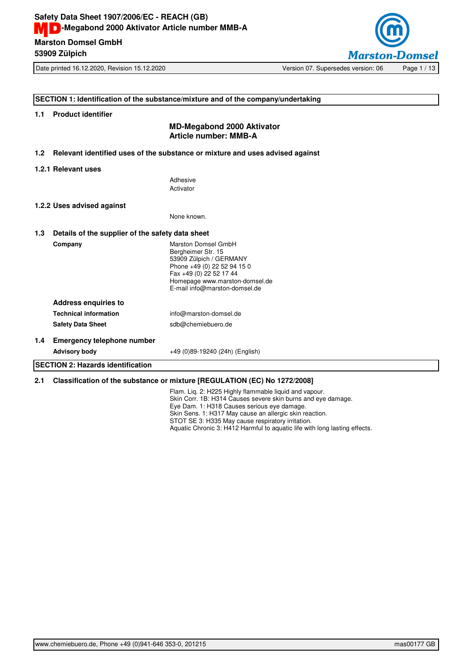

Date printed 16.12.2020, Revision 15.12.2020 Version 07. Supersedes version: 06 Page 1/13

## **SECTION 1: Identification of the substance/mixture and of the company/undertaking**

## **1.1 Product identifier**

## **MD-Megabond 2000 Aktivator Article number: MMB-A**

**1.2 Relevant identified uses of the substance or mixture and uses advised against**

#### **1.2.1 Relevant uses**

Adhesive Activator

#### **1.2.2 Uses advised against**

None known.

## **1.3 Details of the supplier of the safety data sheet Company** Marston Domsel GmbH Bergheimer Str. 15 53909 Zülpich / GERMANY Phone +49 (0) 22 52 94 15 0 Fax +49 (0) 22 52 17 44 Homepage www.marston-domsel.de E-mail info@marston-domsel.de **Address enquiries to Technical information** info@marston-domsel.de **Safety Data Sheet** sdb@chemiebuero.de **1.4 Emergency telephone number Advisory body** +49 (0)89-19240 (24h) (English) **SECTION 2: Hazards identification**

## **2.1 Classification of the substance or mixture [REGULATION (EC) No 1272/2008]**

Flam. Liq. 2: H225 Highly flammable liquid and vapour. Skin Corr. 1B: H314 Causes severe skin burns and eye damage. Eye Dam. 1: H318 Causes serious eye damage. Skin Sens. 1: H317 May cause an allergic skin reaction. STOT SE 3: H335 May cause respiratory irritation. Aquatic Chronic 3: H412 Harmful to aquatic life with long lasting effects.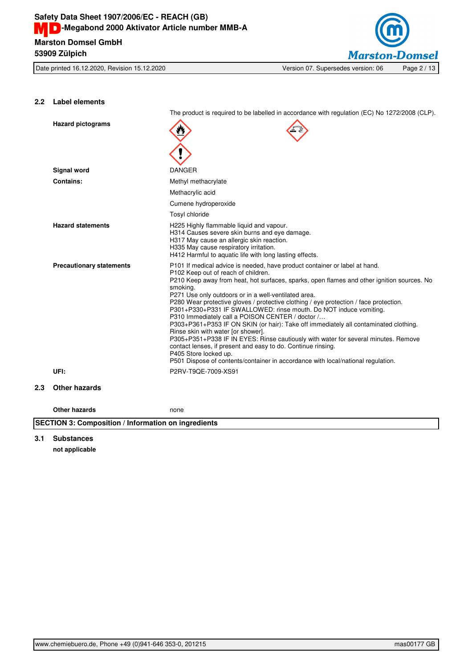

## **2.2 Label elements**

The product is required to be labelled in accordance with regulation (EC) No 1272/2008 (CLP).

|     | <b>Hazard pictograms</b>        |                                                                                                                                                                                                                                                                                                                                                                                                                                                                                                                                                                                                                                                                                                                                                                                                                                                                                                        |
|-----|---------------------------------|--------------------------------------------------------------------------------------------------------------------------------------------------------------------------------------------------------------------------------------------------------------------------------------------------------------------------------------------------------------------------------------------------------------------------------------------------------------------------------------------------------------------------------------------------------------------------------------------------------------------------------------------------------------------------------------------------------------------------------------------------------------------------------------------------------------------------------------------------------------------------------------------------------|
|     |                                 |                                                                                                                                                                                                                                                                                                                                                                                                                                                                                                                                                                                                                                                                                                                                                                                                                                                                                                        |
|     | Signal word                     | <b>DANGER</b>                                                                                                                                                                                                                                                                                                                                                                                                                                                                                                                                                                                                                                                                                                                                                                                                                                                                                          |
|     | <b>Contains:</b>                | Methyl methacrylate                                                                                                                                                                                                                                                                                                                                                                                                                                                                                                                                                                                                                                                                                                                                                                                                                                                                                    |
|     |                                 | Methacrylic acid                                                                                                                                                                                                                                                                                                                                                                                                                                                                                                                                                                                                                                                                                                                                                                                                                                                                                       |
|     |                                 | Cumene hydroperoxide                                                                                                                                                                                                                                                                                                                                                                                                                                                                                                                                                                                                                                                                                                                                                                                                                                                                                   |
|     |                                 | Tosyl chloride                                                                                                                                                                                                                                                                                                                                                                                                                                                                                                                                                                                                                                                                                                                                                                                                                                                                                         |
|     | <b>Hazard statements</b>        | H225 Highly flammable liquid and vapour.<br>H314 Causes severe skin burns and eye damage.<br>H317 May cause an allergic skin reaction.<br>H335 May cause respiratory irritation.<br>H412 Harmful to aquatic life with long lasting effects.                                                                                                                                                                                                                                                                                                                                                                                                                                                                                                                                                                                                                                                            |
|     | <b>Precautionary statements</b> | P101 If medical advice is needed, have product container or label at hand.<br>P102 Keep out of reach of children.<br>P210 Keep away from heat, hot surfaces, sparks, open flames and other ignition sources. No<br>smoking.<br>P271 Use only outdoors or in a well-ventilated area.<br>P280 Wear protective gloves / protective clothing / eye protection / face protection.<br>P301+P330+P331 IF SWALLOWED: rinse mouth. Do NOT induce vomiting.<br>P310 Immediately call a POISON CENTER / doctor /<br>P303+P361+P353 IF ON SKIN (or hair): Take off immediately all contaminated clothing.<br>Rinse skin with water [or shower].<br>P305+P351+P338 IF IN EYES: Rinse cautiously with water for several minutes. Remove<br>contact lenses, if present and easy to do. Continue rinsing.<br>P405 Store locked up.<br>P501 Dispose of contents/container in accordance with local/national regulation. |
|     | UFI:                            | P2RV-T9QE-7009-XS91                                                                                                                                                                                                                                                                                                                                                                                                                                                                                                                                                                                                                                                                                                                                                                                                                                                                                    |
| 2.3 | Other hazards                   |                                                                                                                                                                                                                                                                                                                                                                                                                                                                                                                                                                                                                                                                                                                                                                                                                                                                                                        |
|     | Other hazards                   | none                                                                                                                                                                                                                                                                                                                                                                                                                                                                                                                                                                                                                                                                                                                                                                                                                                                                                                   |

**SECTION 3: Composition / Information on ingredients**

## **3.1 Substances**

**not applicable**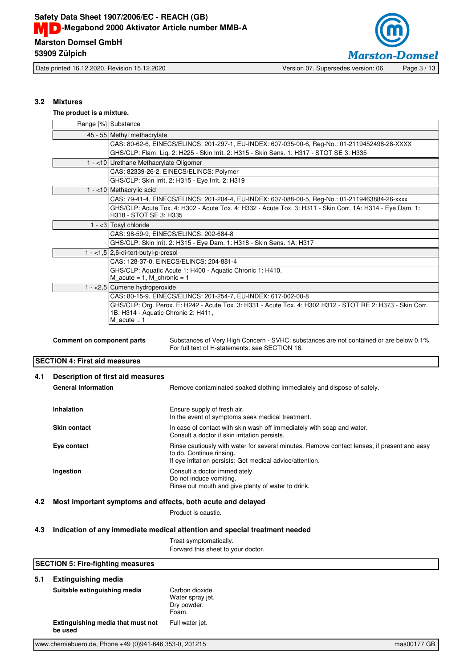

Date printed 16.12.2020, Revision 15.12.2020 Version 07. Supersedes version: 06 Page 3 / 13

## **3.2 Mixtures**

#### **The product is a mixture.**

| Range [%] Substance                                                                                                                 |
|-------------------------------------------------------------------------------------------------------------------------------------|
| 45 - 55 Methyl methacrylate                                                                                                         |
| CAS: 80-62-6, EINECS/ELINCS: 201-297-1, EU-INDEX: 607-035-00-6, Reg-No.: 01-2119452498-28-XXXX                                      |
| GHS/CLP: Flam. Lig. 2: H225 - Skin Irrit. 2: H315 - Skin Sens. 1: H317 - STOT SE 3: H335                                            |
| 1 - <10 Urethane Methacrylate Oligomer                                                                                              |
| CAS: 82339-26-2, EINECS/ELINCS: Polymer                                                                                             |
| GHS/CLP: Skin Irrit. 2: H315 - Eye Irrit. 2: H319                                                                                   |
| $1 - 10$ Methacrylic acid                                                                                                           |
| CAS: 79-41-4, EINECS/ELINCS: 201-204-4, EU-INDEX: 607-088-00-5, Reg-No.: 01-2119463884-26-xxxx                                      |
| GHS/CLP: Acute Tox. 4: H302 - Acute Tox. 4: H332 - Acute Tox. 3: H311 - Skin Corr. 1A: H314 - Eye Dam. 1:<br>H318 - STOT SE 3: H335 |
| $1 - 3$ Tosyl chloride                                                                                                              |
| CAS: 98-59-9, EINECS/ELINCS: 202-684-8                                                                                              |
| GHS/CLP: Skin Irrit. 2: H315 - Eye Dam. 1: H318 - Skin Sens. 1A: H317                                                               |
| $1 - <1,5$ 2,6-di-tert-butyl-p-cresol                                                                                               |
| CAS: 128-37-0, EINECS/ELINCS: 204-881-4                                                                                             |
| GHS/CLP: Aquatic Acute 1: H400 - Aquatic Chronic 1: H410,                                                                           |
| $M$ acute = 1, M chronic = 1                                                                                                        |
| 1 - $<$ 2,5 Cumene hydroperoxide                                                                                                    |
| CAS: 80-15-9, EINECS/ELINCS: 201-254-7, EU-INDEX: 617-002-00-8                                                                      |
| GHS/CLP: Org. Perox. E: H242 - Acute Tox. 3: H331 - Acute Tox. 4: H302 H312 - STOT RE 2: H373 - Skin Corr.                          |
| 1B: H314 - Aquatic Chronic 2: H411,<br>M acute $= 1$                                                                                |
|                                                                                                                                     |

**Comment on component parts** Substances of Very High Concern - SVHC: substances are not contained or are below 0.1%. For full text of H-statements: see SECTION 16.

## **SECTION 4: First aid measures**

| 4.1 | Description of first aid measures<br><b>General information</b> | Remove contaminated soaked clothing immediately and dispose of safely.                                                                                                               |
|-----|-----------------------------------------------------------------|--------------------------------------------------------------------------------------------------------------------------------------------------------------------------------------|
|     | Inhalation                                                      | Ensure supply of fresh air.<br>In the event of symptoms seek medical treatment.                                                                                                      |
|     | <b>Skin contact</b>                                             | In case of contact with skin wash off immediately with soap and water.<br>Consult a doctor if skin irritation persists.                                                              |
|     | Eye contact                                                     | Rinse cautiously with water for several minutes. Remove contact lenses, if present and easy<br>to do. Continue rinsing.<br>If eye irritation persists: Get medical advice/attention. |
|     | Ingestion                                                       | Consult a doctor immediately.<br>Do not induce vomiting.<br>Rinse out mouth and give plenty of water to drink.                                                                       |

## **4.2 Most important symptoms and effects, both acute and delayed**

Product is caustic.

## **4.3 Indication of any immediate medical attention and special treatment needed**

Treat symptomatically. Forward this sheet to your doctor.

## **SECTION 5: Fire-fighting measures**

## **5.1 Extinguishing media**

| Suitable extinguishing media                 | Carbon dioxide.<br>Water spray jet.<br>Dry powder.<br>Foam. |
|----------------------------------------------|-------------------------------------------------------------|
| Extinguishing media that must not<br>be used | Full water jet.                                             |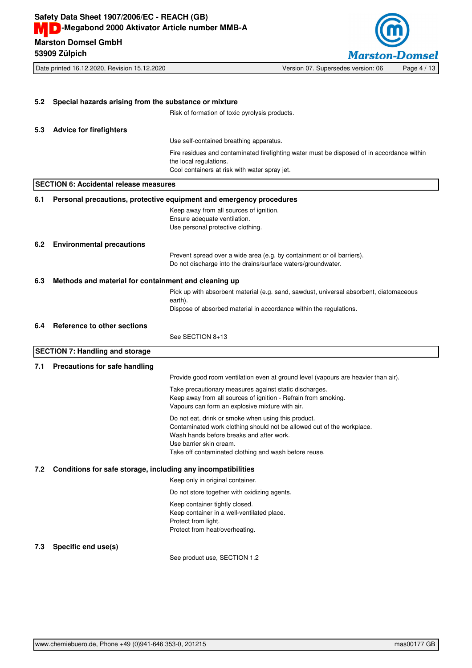**53909 Zülpich**



Date printed 16.12.2020, Revision 15.12.2020 Version 07. Supersedes version: 06 Page 4 / 13

**5.2 Special hazards arising from the substance or mixture** Risk of formation of toxic pyrolysis products. **5.3 Advice for firefighters** Use self-contained breathing apparatus. Fire residues and contaminated firefighting water must be disposed of in accordance within the local regulations. Cool containers at risk with water spray jet. **SECTION 6: Accidental release measures 6.1 Personal precautions, protective equipment and emergency procedures** Keep away from all sources of ignition. Ensure adequate ventilation. Use personal protective clothing. **6.2 Environmental precautions** Prevent spread over a wide area (e.g. by containment or oil barriers). Do not discharge into the drains/surface waters/groundwater. **6.3 Methods and material for containment and cleaning up** Pick up with absorbent material (e.g. sand, sawdust, universal absorbent, diatomaceous earth). Dispose of absorbed material in accordance within the regulations. **6.4 Reference to other sections** See SECTION 8+13 **SECTION 7: Handling and storage 7.1 Precautions for safe handling** Provide good room ventilation even at ground level (vapours are heavier than air). Take precautionary measures against static discharges. Keep away from all sources of ignition - Refrain from smoking. Vapours can form an explosive mixture with air. Do not eat, drink or smoke when using this product. Contaminated work clothing should not be allowed out of the workplace. Wash hands before breaks and after work. Use barrier skin cream. Take off contaminated clothing and wash before reuse. **7.2 Conditions for safe storage, including any incompatibilities** Keep only in original container. Do not store together with oxidizing agents. Keep container tightly closed. Keep container in a well-ventilated place. Protect from light. Protect from heat/overheating. **7.3 Specific end use(s)** See product use, SECTION 1.2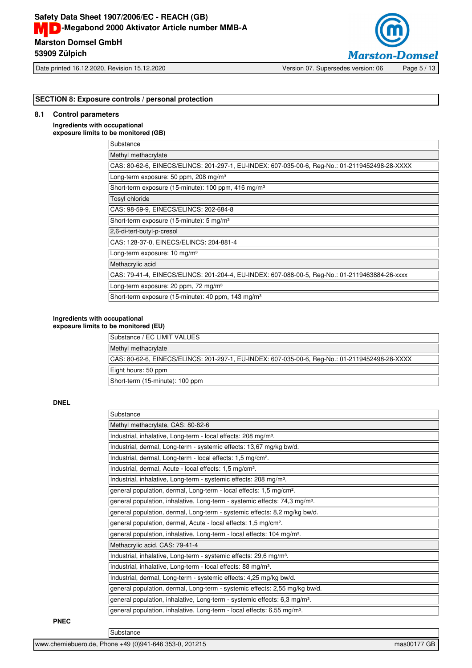# **Marston Domsel GmbH Safety Data Sheet 1907/2006/EC - REACH (GB) MD**-Megabond 2000 Aktivator Article number MMB-A

**53909 Zülpich**



## **SECTION 8: Exposure controls / personal protection**

## **8.1 Control parameters**

**Ingredients with occupational exposure limits to be monitored (GB)**

| Substance                                                                                      |
|------------------------------------------------------------------------------------------------|
| Methyl methacrylate                                                                            |
| CAS: 80-62-6, EINECS/ELINCS: 201-297-1, EU-INDEX: 607-035-00-6, Req-No.: 01-2119452498-28-XXXX |
| Long-term exposure: 50 ppm, 208 mg/m <sup>3</sup>                                              |
| Short-term exposure (15-minute): 100 ppm, 416 mg/m <sup>3</sup>                                |
| Tosyl chloride                                                                                 |
| CAS: 98-59-9, EINECS/ELINCS: 202-684-8                                                         |
| Short-term exposure (15-minute): 5 mg/m <sup>3</sup>                                           |
| 2,6-di-tert-butyl-p-cresol                                                                     |
| CAS: 128-37-0, EINECS/ELINCS: 204-881-4                                                        |
| Long-term exposure: $10 \text{ mg/m}^3$                                                        |
| Methacrylic acid                                                                               |
| CAS: 79-41-4, EINECS/ELINCS: 201-204-4, EU-INDEX: 607-088-00-5, Req-No.: 01-2119463884-26-xxxx |
| Long-term exposure: 20 ppm, 72 mg/m <sup>3</sup>                                               |
| Short-term exposure (15-minute): 40 ppm, 143 mg/m <sup>3</sup>                                 |

## **Ingredients with occupational**

**exposure limits to be monitored (EU)**

| Substance / EC LIMIT VALUES                                                                    |
|------------------------------------------------------------------------------------------------|
| Methyl methacrylate                                                                            |
| CAS: 80-62-6, EINECS/ELINCS: 201-297-1, EU-INDEX: 607-035-00-6, Req-No.: 01-2119452498-28-XXXX |
| Eight hours: 50 ppm                                                                            |
| Short-term (15-minute): 100 ppm                                                                |

## **DNEL**

| Substance                                                                              |
|----------------------------------------------------------------------------------------|
| Methyl methacrylate, CAS: 80-62-6                                                      |
| Industrial, inhalative, Long-term - local effects: 208 mg/m <sup>3</sup> .             |
| Industrial, dermal, Long-term - systemic effects: 13,67 mg/kg bw/d.                    |
| Industrial, dermal, Long-term - local effects: 1,5 mg/cm <sup>2</sup> .                |
| Industrial, dermal, Acute - local effects: 1,5 mg/cm <sup>2</sup> .                    |
| Industrial, inhalative, Long-term - systemic effects: 208 mg/m <sup>3</sup> .          |
| general population, dermal, Long-term - local effects: 1,5 mg/cm <sup>2</sup> .        |
| general population, inhalative, Long-term - systemic effects: 74,3 mg/m <sup>3</sup> . |
| general population, dermal, Long-term - systemic effects: 8,2 mg/kg bw/d.              |
| general population, dermal, Acute - local effects: 1,5 mg/cm <sup>2</sup> .            |
| general population, inhalative, Long-term - local effects: 104 mg/m <sup>3</sup> .     |
| Methacrylic acid, CAS: 79-41-4                                                         |
| Industrial, inhalative, Long-term - systemic effects: 29,6 mg/m <sup>3</sup> .         |
| Industrial, inhalative, Long-term - local effects: 88 mg/m <sup>3</sup> .              |
| Industrial, dermal, Long-term - systemic effects: 4,25 mg/kg bw/d.                     |
| general population, dermal, Long-term - systemic effects: 2,55 mg/kg bw/d.             |
| general population, inhalative, Long-term - systemic effects: 6,3 mg/m <sup>3</sup> .  |
| general population, inhalative, Long-term - local effects: 6,55 mg/m <sup>3</sup> .    |

#### **PNEC**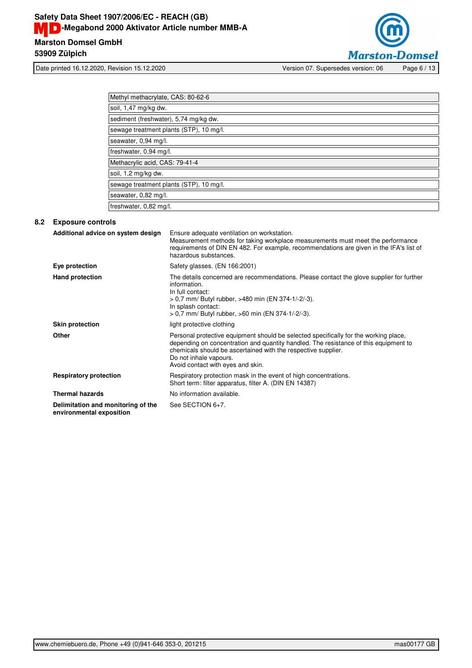

Date printed 16.12.2020, Revision 15.12.2020 Version 07. Supersedes version: 06 Page 6 / 13

| Methyl methacrylate, CAS: 80-62-6       |  |
|-----------------------------------------|--|
| soil, 1,47 mg/kg dw.                    |  |
| sediment (freshwater), 5,74 mg/kg dw.   |  |
| sewage treatment plants (STP), 10 mg/l. |  |
| seawater, 0,94 mg/l.                    |  |
| freshwater, 0,94 mg/l.                  |  |
| Methacrylic acid, CAS: 79-41-4          |  |
| soil, 1,2 mg/kg dw.                     |  |
| sewage treatment plants (STP), 10 mg/l. |  |
| seawater, 0,82 mg/l.                    |  |
| freshwater, 0,82 mg/l.                  |  |

## **8.2 Exposure controls**

| Additional advice on system design                             | Ensure adequate ventilation on workstation.<br>Measurement methods for taking workplace measurements must meet the performance<br>requirements of DIN EN 482. For example, recommendations are given in the IFA's list of<br>hazardous substances.                                                           |
|----------------------------------------------------------------|--------------------------------------------------------------------------------------------------------------------------------------------------------------------------------------------------------------------------------------------------------------------------------------------------------------|
| Eye protection                                                 | Safety glasses. (EN 166:2001)                                                                                                                                                                                                                                                                                |
| <b>Hand protection</b>                                         | The details concerned are recommendations. Please contact the glove supplier for further<br>information.<br>In full contact:<br>> 0.7 mm/ Butyl rubber, >480 min (EN 374-1/-2/-3).<br>In splash contact:<br>> 0.7 mm/ Butyl rubber, >60 min (EN 374-1/-2/-3).                                                |
| <b>Skin protection</b>                                         | light protective clothing                                                                                                                                                                                                                                                                                    |
| <b>Other</b>                                                   | Personal protective equipment should be selected specifically for the working place,<br>depending on concentration and quantity handled. The resistance of this equipment to<br>chemicals should be ascertained with the respective supplier.<br>Do not inhale vapours.<br>Avoid contact with eyes and skin. |
| <b>Respiratory protection</b>                                  | Respiratory protection mask in the event of high concentrations.<br>Short term: filter apparatus, filter A. (DIN EN 14387)                                                                                                                                                                                   |
| <b>Thermal hazards</b>                                         | No information available.                                                                                                                                                                                                                                                                                    |
| Delimitation and monitoring of the<br>environmental exposition | See SECTION 6+7.                                                                                                                                                                                                                                                                                             |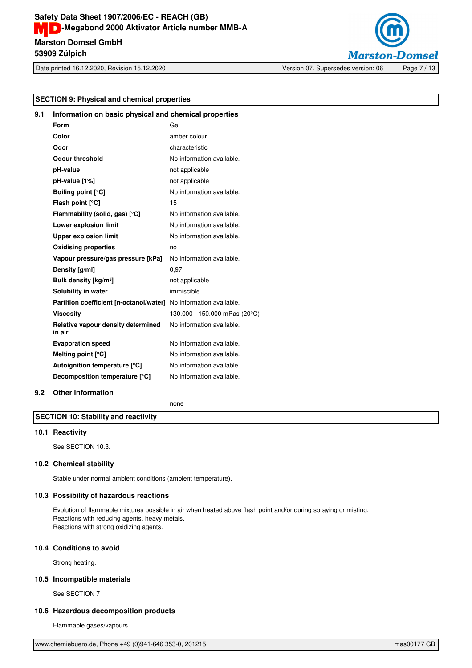

Date printed 16.12.2020, Revision 15.12.2020 Version 07. Supersedes version: 06 Page 7 / 13

## **SECTION 9: Physical and chemical properties**

| <b>SECTION 9: Physical and chemical properties</b> |                                                                   |                               |
|----------------------------------------------------|-------------------------------------------------------------------|-------------------------------|
| 9.1                                                | Information on basic physical and chemical properties             |                               |
|                                                    | Form                                                              | Gel                           |
|                                                    | Color                                                             | amber colour                  |
|                                                    | Odor                                                              | characteristic                |
|                                                    | <b>Odour threshold</b>                                            | No information available.     |
|                                                    | pH-value                                                          | not applicable                |
|                                                    | pH-value [1%]                                                     | not applicable                |
|                                                    | <b>Boiling point [°C]</b>                                         | No information available.     |
|                                                    | Flash point [°C]                                                  | 15                            |
|                                                    | Flammability (solid, gas) [°C]                                    | No information available.     |
|                                                    | Lower explosion limit                                             | No information available.     |
|                                                    | <b>Upper explosion limit</b>                                      | No information available.     |
|                                                    |                                                                   |                               |
|                                                    | <b>Oxidising properties</b>                                       | no                            |
|                                                    | Vapour pressure/gas pressure [kPa]                                | No information available.     |
|                                                    | Density [g/ml]                                                    | 0,97                          |
|                                                    | Bulk density [kg/m <sup>3</sup> ]                                 | not applicable                |
|                                                    | Solubility in water                                               | immiscible                    |
|                                                    | Partition coefficient [n-octanol/water] No information available. |                               |
|                                                    | <b>Viscosity</b>                                                  | 130.000 - 150.000 mPas (20°C) |
|                                                    | Relative vapour density determined<br>in air                      | No information available.     |
|                                                    | <b>Evaporation speed</b>                                          | No information available.     |
|                                                    | Melting point $[°C]$                                              | No information available.     |
|                                                    | Autoignition temperature [°C]                                     | No information available.     |
|                                                    | Decomposition temperature [°C]                                    | No information available.     |
| 9.2                                                | <b>Other information</b>                                          |                               |

none

## **SECTION 10: Stability and reactivity**

## **10.1 Reactivity**

See SECTION 10.3.

## **10.2 Chemical stability**

Stable under normal ambient conditions (ambient temperature).

## **10.3 Possibility of hazardous reactions**

Evolution of flammable mixtures possible in air when heated above flash point and/or during spraying or misting. Reactions with reducing agents, heavy metals. Reactions with strong oxidizing agents.

## **10.4 Conditions to avoid**

Strong heating.

## **10.5 Incompatible materials**

See SECTION 7

## **10.6 Hazardous decomposition products**

Flammable gases/vapours.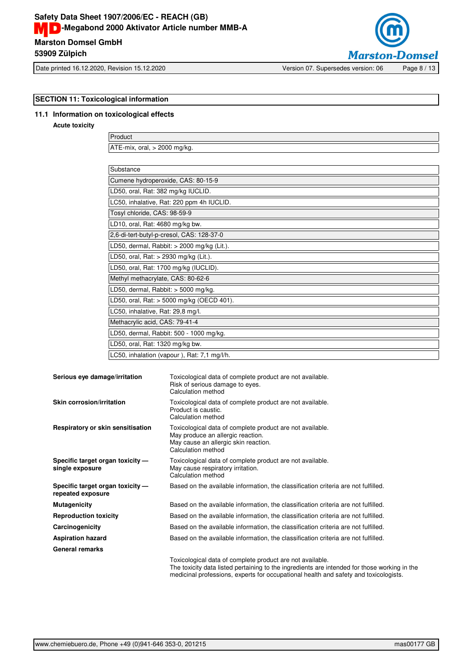## **Marston Domsel GmbH Safety Data Sheet 1907/2006/EC - REACH (GB) MD**-Megabond 2000 Aktivator Article number MMB-A **53909 Zülpich**



Date printed 16.12.2020, Revision 15.12.2020 Version 07. Supersedes version: 06 Page 8 / 13

# **SECTION 11: Toxicological information 11.1 Information on toxicological effects**

**Acute toxicity**

Product ATE-mix, oral, > 2000 mg/kg.

| Substance                                    |
|----------------------------------------------|
| Cumene hydroperoxide, CAS: 80-15-9           |
| LD50, oral, Rat: 382 mg/kg IUCLID.           |
| LC50, inhalative, Rat: 220 ppm 4h IUCLID.    |
| Tosyl chloride, CAS: 98-59-9                 |
| LD10, oral, Rat: 4680 mg/kg bw.              |
| 2,6-di-tert-butyl-p-cresol, CAS: 128-37-0    |
| LD50, dermal, Rabbit: $>$ 2000 mg/kg (Lit.). |
| LD50, oral, Rat: $> 2930$ mg/kg (Lit.).      |
| LD50, oral, Rat: 1700 mg/kg (IUCLID).        |
| Methyl methacrylate, CAS: 80-62-6            |
| LD50, dermal, Rabbit: $>$ 5000 mg/kg.        |
| LD50, oral, Rat: $>$ 5000 mg/kg (OECD 401).  |
| LC50, inhalative, Rat: 29,8 mg/l.            |
| Methacrylic acid, CAS: 79-41-4               |
| LD50, dermal, Rabbit: 500 - 1000 mg/kg.      |
| LD50, oral, Rat: 1320 mg/kg bw.              |
| LC50, inhalation (vapour), Rat: 7,1 mg/l/h.  |

| Serious eye damage/irritation                         | Toxicological data of complete product are not available.<br>Risk of serious damage to eyes.<br>Calculation method                                                                                                                                |
|-------------------------------------------------------|---------------------------------------------------------------------------------------------------------------------------------------------------------------------------------------------------------------------------------------------------|
| Skin corrosion/irritation                             | Toxicological data of complete product are not available.<br>Product is caustic.<br>Calculation method                                                                                                                                            |
| Respiratory or skin sensitisation                     | Toxicological data of complete product are not available.<br>May produce an allergic reaction.<br>May cause an allergic skin reaction.<br>Calculation method                                                                                      |
| Specific target organ toxicity -<br>single exposure   | Toxicological data of complete product are not available.<br>May cause respiratory irritation.<br>Calculation method                                                                                                                              |
| Specific target organ toxicity -<br>repeated exposure | Based on the available information, the classification criteria are not fulfilled.                                                                                                                                                                |
| <b>Mutagenicity</b>                                   | Based on the available information, the classification criteria are not fulfilled.                                                                                                                                                                |
| <b>Reproduction toxicity</b>                          | Based on the available information, the classification criteria are not fulfilled.                                                                                                                                                                |
| Carcinogenicity                                       | Based on the available information, the classification criteria are not fulfilled.                                                                                                                                                                |
| <b>Aspiration hazard</b>                              | Based on the available information, the classification criteria are not fulfilled.                                                                                                                                                                |
| <b>General remarks</b>                                |                                                                                                                                                                                                                                                   |
|                                                       | Toxicological data of complete product are not available.<br>The toxicity data listed pertaining to the ingredients are intended for those working in the<br>medicinal professions, experts for occupational health and safety and toxicologists. |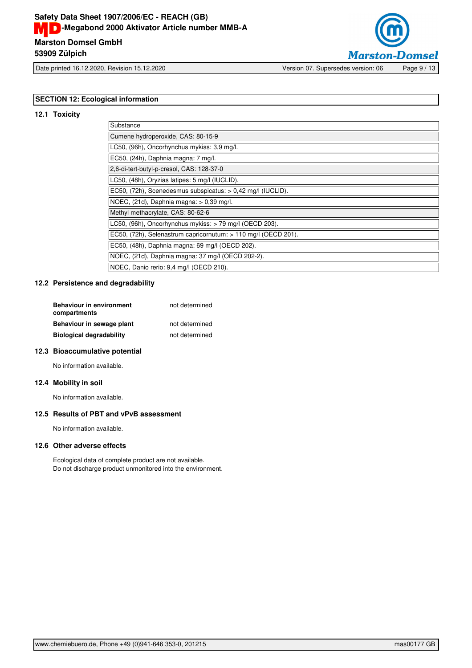

Date printed 16.12.2020, Revision 15.12.2020 Version 07. Supersedes version: 06 Page 9 / 13

## **SECTION 12: Ecological information**

## **12.1 Toxicity**

| Substance                                                      |
|----------------------------------------------------------------|
| Cumene hydroperoxide, CAS: 80-15-9                             |
| LC50, (96h), Oncorhynchus mykiss: 3,9 mg/l.                    |
| EC50, (24h), Daphnia magna: 7 mg/l.                            |
| 2,6-di-tert-butyl-p-cresol, CAS: 128-37-0                      |
| LC50, (48h), Oryzias latipes: 5 mg/l (IUCLID).                 |
| EC50, (72h), Scenedesmus subspicatus: > 0,42 mg/l (IUCLID).    |
| NOEC, $(21d)$ , Daphnia magna: $> 0.39$ mg/l.                  |
| Methyl methacrylate, CAS: 80-62-6                              |
| LC50, (96h), Oncorhynchus mykiss: > 79 mg/l (OECD 203).        |
| EC50, (72h), Selenastrum capricornutum: > 110 mg/l (OECD 201). |
| EC50, (48h), Daphnia magna: 69 mg/l (OECD 202).                |
| NOEC, (21d), Daphnia magna: 37 mg/l (OECD 202-2).              |
| NOEC, Danio rerio: 9,4 mg/l (OECD 210).                        |

## **12.2 Persistence and degradability**

| <b>Behaviour in environment</b><br>compartments | not determined |
|-------------------------------------------------|----------------|
| Behaviour in sewage plant                       | not determined |
| <b>Biological degradability</b>                 | not determined |

## **12.3 Bioaccumulative potential**

No information available.

#### **12.4 Mobility in soil**

No information available.

## **12.5 Results of PBT and vPvB assessment**

No information available.

## **12.6 Other adverse effects**

Ecological data of complete product are not available. Do not discharge product unmonitored into the environment.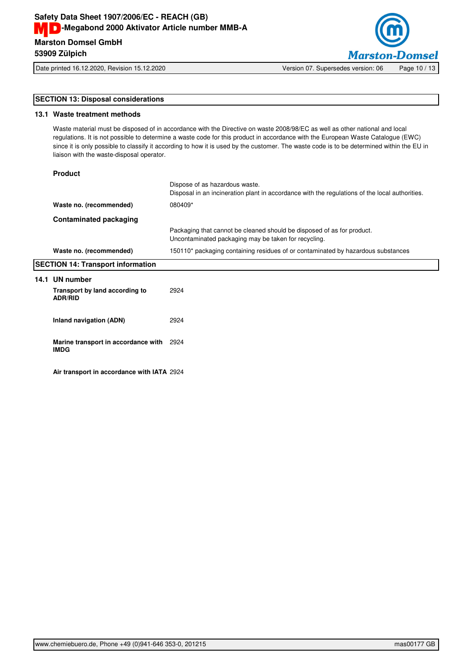

Date printed 16.12.2020, Revision 15.12.2020 Version 07. Supersedes version: 06 Page 10 / 13

## **SECTION 13: Disposal considerations**

## **13.1 Waste treatment methods**

Waste material must be disposed of in accordance with the Directive on waste 2008/98/EC as well as other national and local regulations. It is not possible to determine a waste code for this product in accordance with the European Waste Catalogue (EWC) since it is only possible to classify it according to how it is used by the customer. The waste code is to be determined within the EU in liaison with the waste-disposal operator.

## **Product**

|                                          |                                                         | Dispose of as hazardous waste.<br>Disposal in an incineration plant in accordance with the regulations of the local authorities. |
|------------------------------------------|---------------------------------------------------------|----------------------------------------------------------------------------------------------------------------------------------|
|                                          | Waste no. (recommended)                                 | 080409*                                                                                                                          |
|                                          | Contaminated packaging                                  |                                                                                                                                  |
|                                          |                                                         | Packaging that cannot be cleaned should be disposed of as for product.<br>Uncontaminated packaging may be taken for recycling.   |
|                                          | Waste no. (recommended)                                 | 150110* packaging containing residues of or contaminated by hazardous substances                                                 |
| <b>SECTION 14: Transport information</b> |                                                         |                                                                                                                                  |
| 14.1                                     | UN number                                               |                                                                                                                                  |
|                                          | Transport by land according to<br><b>ADR/RID</b>        | 2924                                                                                                                             |
|                                          | Inland navigation (ADN)                                 | 2924                                                                                                                             |
|                                          | Marine transport in accordance with 2924<br><b>IMDG</b> |                                                                                                                                  |
|                                          |                                                         |                                                                                                                                  |

**Air transport in accordance with IATA** 2924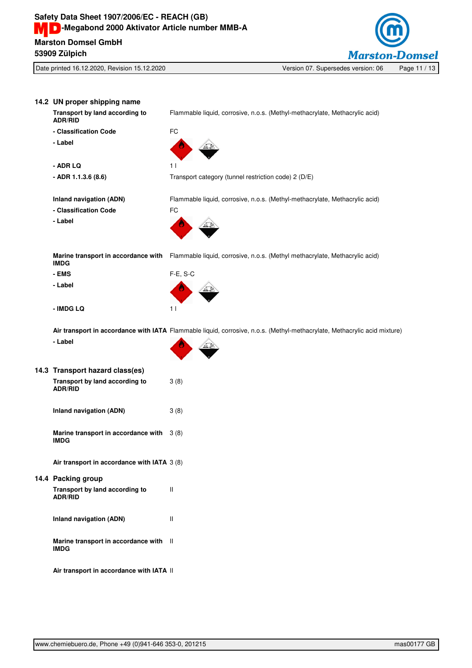

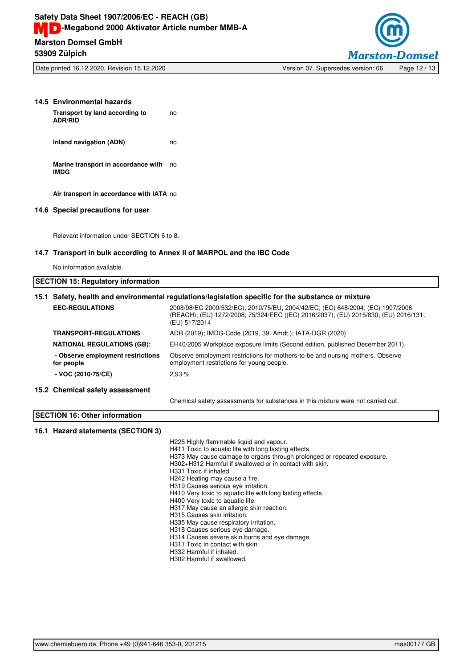

| 14.5 Environmental hazards                                                                          |                                                                                                                                                                                                                                                                                                                                                                                                                                                                                                                                                                                                                                                         |  |
|-----------------------------------------------------------------------------------------------------|---------------------------------------------------------------------------------------------------------------------------------------------------------------------------------------------------------------------------------------------------------------------------------------------------------------------------------------------------------------------------------------------------------------------------------------------------------------------------------------------------------------------------------------------------------------------------------------------------------------------------------------------------------|--|
| Transport by land according to<br><b>ADR/RID</b>                                                    | no                                                                                                                                                                                                                                                                                                                                                                                                                                                                                                                                                                                                                                                      |  |
| Inland navigation (ADN)                                                                             | no                                                                                                                                                                                                                                                                                                                                                                                                                                                                                                                                                                                                                                                      |  |
| Marine transport in accordance with no<br><b>IMDG</b>                                               |                                                                                                                                                                                                                                                                                                                                                                                                                                                                                                                                                                                                                                                         |  |
| Air transport in accordance with IATA no                                                            |                                                                                                                                                                                                                                                                                                                                                                                                                                                                                                                                                                                                                                                         |  |
| 14.6 Special precautions for user                                                                   |                                                                                                                                                                                                                                                                                                                                                                                                                                                                                                                                                                                                                                                         |  |
| Relevant information under SECTION 6 to 8.                                                          |                                                                                                                                                                                                                                                                                                                                                                                                                                                                                                                                                                                                                                                         |  |
| 14.7 Transport in bulk according to Annex II of MARPOL and the IBC Code                             |                                                                                                                                                                                                                                                                                                                                                                                                                                                                                                                                                                                                                                                         |  |
| No information available.                                                                           |                                                                                                                                                                                                                                                                                                                                                                                                                                                                                                                                                                                                                                                         |  |
| <b>SECTION 15: Regulatory information</b>                                                           |                                                                                                                                                                                                                                                                                                                                                                                                                                                                                                                                                                                                                                                         |  |
| 15.1 Safety, health and environmental regulations/legislation specific for the substance or mixture |                                                                                                                                                                                                                                                                                                                                                                                                                                                                                                                                                                                                                                                         |  |
| <b>EEC-REGULATIONS</b>                                                                              | 2008/98/EC 2000/532/EC); 2010/75/EU; 2004/42/EC; (EC) 648/2004; (EC) 1907/2006<br>(REACH); (EU) 1272/2008; 75/324/EEC ((EC) 2016/2037); (EU) 2015/830; (EU) 2016/131;<br>(EU) 517/2014                                                                                                                                                                                                                                                                                                                                                                                                                                                                  |  |
| <b>TRANSPORT-REGULATIONS</b>                                                                        | ADR (2019); IMDG-Code (2019, 39. Amdt.); IATA-DGR (2020)                                                                                                                                                                                                                                                                                                                                                                                                                                                                                                                                                                                                |  |
| <b>NATIONAL REGULATIONS (GB):</b>                                                                   | EH40/2005 Workplace exposure limits (Second edition, published December 2011).                                                                                                                                                                                                                                                                                                                                                                                                                                                                                                                                                                          |  |
| - Observe employment restrictions<br>for people                                                     | Observe employment restrictions for mothers-to-be and nursing mothers. Observe<br>employment restrictions for young people.                                                                                                                                                                                                                                                                                                                                                                                                                                                                                                                             |  |
| - VOC (2010/75/CE)                                                                                  | 2,93 %                                                                                                                                                                                                                                                                                                                                                                                                                                                                                                                                                                                                                                                  |  |
| 15.2 Chemical safety assessment                                                                     |                                                                                                                                                                                                                                                                                                                                                                                                                                                                                                                                                                                                                                                         |  |
|                                                                                                     | Chemical safety assessments for substances in this mixture were not carried out.                                                                                                                                                                                                                                                                                                                                                                                                                                                                                                                                                                        |  |
| <b>SECTION 16: Other information</b>                                                                |                                                                                                                                                                                                                                                                                                                                                                                                                                                                                                                                                                                                                                                         |  |
| 16.1 Hazard statements (SECTION 3)                                                                  |                                                                                                                                                                                                                                                                                                                                                                                                                                                                                                                                                                                                                                                         |  |
|                                                                                                     | H225 Highly flammable liquid and vapour.<br>H411 Toxic to aquatic life with long lasting effects.<br>H373 May cause damage to organs through prolonged or repeated exposure.<br>H302+H312 Harmful if swallowed or in contact with skin.<br>H331 Toxic if inhaled.<br>H242 Heating may cause a fire.<br>H319 Causes serious eye irritation.<br>H410 Very toxic to aquatic life with long lasting effects.<br>H400 Very toxic to aquatic life.<br>H317 May cause an allergic skin reaction.<br>H315 Causes skin irritation.<br>H335 May cause respiratory irritation.<br>H318 Causes serious eye damage.<br>H314 Causes severe skin burns and eye damage. |  |

H311 Toxic in contact with skin. H332 Harmful if inhaled. H302 Harmful if swallowed.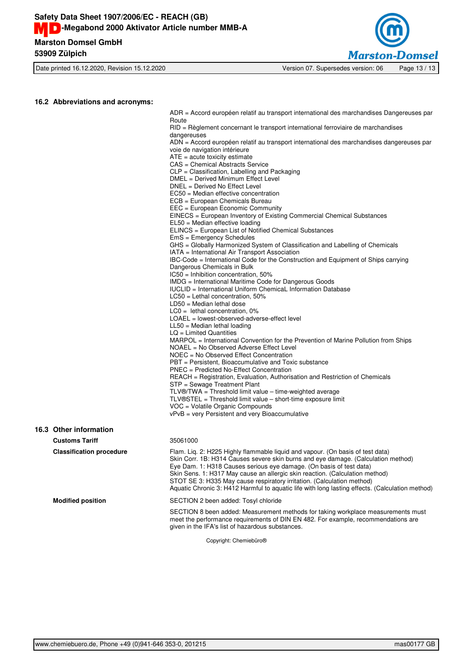

Date printed 16.12.2020, Revision 15.12.2020 Version 07. Supersedes version: 06 Page 13 / 13

#### **16.2 Abbreviations and acronyms:**

ADR = Accord européen relatif au transport international des marchandises Dangereuses par **Route** RID = Règlement concernant le transport international ferroviaire de marchandises

dangereuses

ADN = Accord européen relatif au transport international des marchandises dangereuses par voie de navigation intérieure

 $ATE = acute$  toxicity estimate

CAS = Chemical Abstracts Service

CLP = Classification, Labelling and Packaging

DMEL = Derived Minimum Effect Level

DNEL = Derived No Effect Level

EC50 = Median effective concentration

ECB = European Chemicals Bureau

EEC = European Economic Community EINECS = European Inventory of Existing Commercial Chemical Substances

EL50 = Median effective loading

ELINCS = European List of Notified Chemical Substances

EmS = Emergency Schedules

GHS = Globally Harmonized System of Classification and Labelling of Chemicals

IATA = International Air Transport Association

IBC-Code = International Code for the Construction and Equipment of Ships carrying

Dangerous Chemicals in Bulk

 $IC50 = Inhibition concentration, 50%$ 

IMDG = International Maritime Code for Dangerous Goods

IUCLID = International Uniform ChemicaL Information Database

LC50 = Lethal concentration, 50%

LD50 = Median lethal dose

LC0 = lethal concentration, 0%

LOAEL = lowest-observed-adverse-effect level LL50 = Median lethal loading

LQ = Limited Quantities

MARPOL = International Convention for the Prevention of Marine Pollution from Ships

NOAEL = No Observed Adverse Effect Level

NOEC = No Observed Effect Concentration

PBT = Persistent, Bioaccumulative and Toxic substance

PNEC = Predicted No-Effect Concentration

REACH = Registration, Evaluation, Authorisation and Restriction of Chemicals

STP = Sewage Treatment Plant

TLV®/TWA = Threshold limit value – time-weighted average

TLV®STEL = Threshold limit value – short-time exposure limit

VOC = Volatile Organic Compounds

vPvB = very Persistent and very Bioaccumulative

## **16.3 Other information**

**Customs Tariff** 35061000

**Classification procedure** Flam. Liq. 2: H225 Highly flammable liquid and vapour. (On basis of test data) Skin Corr. 1B: H314 Causes severe skin burns and eye damage. (Calculation method) Eye Dam. 1: H318 Causes serious eye damage. (On basis of test data) Skin Sens. 1: H317 May cause an allergic skin reaction. (Calculation method) STOT SE 3: H335 May cause respiratory irritation. (Calculation method) Aquatic Chronic 3: H412 Harmful to aquatic life with long lasting effects. (Calculation method) **Modified position** SECTION 2 been added: Tosyl chloride

> SECTION 8 been added: Measurement methods for taking workplace measurements must meet the performance requirements of DIN EN 482. For example, recommendations are given in the IFA's list of hazardous substances.

> > Copyright: Chemiebüro®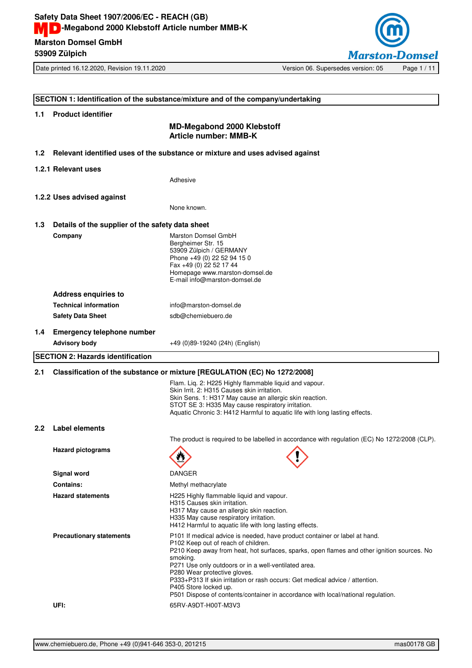

Date printed 16.12.2020, Revision 19.11.2020 Version 06. Supersedes version: 05 Page 1 / 11

## **SECTION 1: Identification of the substance/mixture and of the company/undertaking 1.1 Product identifier MD-Megabond 2000 Klebstoff Article number: MMB-K 1.2 Relevant identified uses of the substance or mixture and uses advised against 1.2.1 Relevant uses** Adhesive **1.2.2 Uses advised against** None known. **1.3 Details of the supplier of the safety data sheet Company** Marston Domsel GmbH Bergheimer Str. 15 53909 Zülpich / GERMANY Phone +49 (0) 22 52 94 15 0 Fax  $+49$  (0) 22 52 17 44 Homepage www.marston-domsel.de E-mail info@marston-domsel.de **Address enquiries to Technical information** info@marston-domsel.de Safety Data Sheet sdb@chemiebuero.de **1.4 Emergency telephone number Advisory body** +49 (0)89-19240 (24h) (English) **SECTION 2: Hazards identification 2.1 Classification of the substance or mixture [REGULATION (EC) No 1272/2008]** Flam. Liq. 2: H225 Highly flammable liquid and vapour. Skin Irrit. 2: H315 Causes skin irritation. Skin Sens. 1: H317 May cause an allergic skin reaction. STOT SE 3: H335 May cause respiratory irritation. Aquatic Chronic 3: H412 Harmful to aquatic life with long lasting effects. **2.2 Label elements** The product is required to be labelled in accordance with regulation (EC) No 1272/2008 (CLP). **Hazard pictograms Signal word** DANGER **Contains:** Methyl methacrylate Hazard statements **H225 Highly flammable liquid and vapour.** H315 Causes skin irritation. H317 May cause an allergic skin reaction. H335 May cause respiratory irritation. H412 Harmful to aquatic life with long lasting effects. **Precautionary statements** P101 If medical advice is needed, have product container or label at hand. P102 Keep out of reach of children. P210 Keep away from heat, hot surfaces, sparks, open flames and other ignition sources. No smoking. P271 Use only outdoors or in a well-ventilated area. P280 Wear protective gloves. P333+P313 If skin irritation or rash occurs: Get medical advice / attention. P405 Store locked up. P501 Dispose of contents/container in accordance with local/national regulation. **UFI:** 65RV-A9DT-H00T-M3V3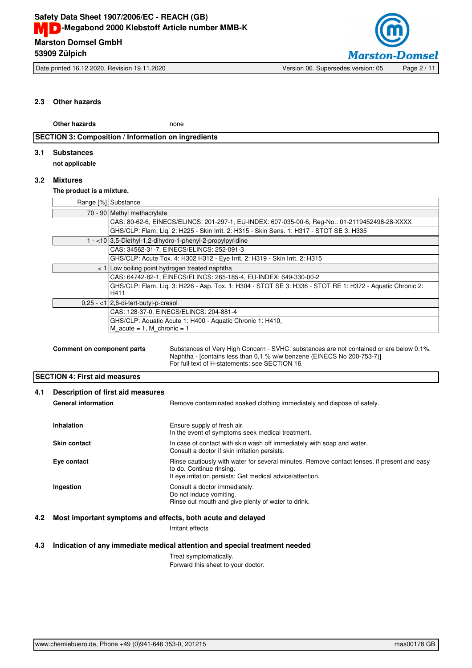

Date printed 16.12.2020, Revision 19.11.2020 Version 06. Supersedes version: 05 Page 2 / 11

## **2.3 Other hazards**

**Other hazards** none

## **SECTION 3: Composition / Information on ingredients**

## **3.1 Substances**

**not applicable**

## **3.2 Mixtures**

**The product is a mixture.**

| Range [%] Substance                                                                                              |
|------------------------------------------------------------------------------------------------------------------|
| 70 - 90 Methyl methacrylate                                                                                      |
| CAS: 80-62-6, EINECS/ELINCS: 201-297-1, EU-INDEX: 607-035-00-6, Req-No.: 01-2119452498-28-XXXX                   |
| GHS/CLP: Flam. Lig. 2: H225 - Skin Irrit. 2: H315 - Skin Sens. 1: H317 - STOT SE 3: H335                         |
| 1 - <10 3,5-Diethyl-1,2-dihydro-1-phenyl-2-propylpyridine                                                        |
| CAS: 34562-31-7, EINECS/ELINCS: 252-091-3                                                                        |
| GHS/CLP: Acute Tox. 4: H302 H312 - Eye Irrit. 2: H319 - Skin Irrit. 2: H315                                      |
| < 1 Low boiling point hydrogen treated naphtha                                                                   |
| CAS: 64742-82-1, EINECS/ELINCS: 265-185-4, EU-INDEX: 649-330-00-2                                                |
| GHS/CLP: Flam. Liq. 3: H226 - Asp. Tox. 1: H304 - STOT SE 3: H336 - STOT RE 1: H372 - Aquatic Chronic 2:<br>H411 |
| $0.25 - 1$   2.6-di-tert-butyl-p-cresol                                                                          |
| CAS: 128-37-0, EINECS/ELINCS: 204-881-4                                                                          |
| GHS/CLP: Aquatic Acute 1: H400 - Aquatic Chronic 1: H410,<br>M acute = $1$ , M chronic = $1$                     |
|                                                                                                                  |

```
Comment on component parts Substances of Very High Concern - SVHC: substances are not contained or are below 0.1%.
                         Naphtha - [contains less than 0,1 % w/w benzene (EINECS No 200-753-7)]
                         For full text of H-statements: see SECTION 16.
```
## **SECTION 4: First aid measures**

| 4.1 | Description of first aid measures<br><b>General information</b> | Remove contaminated soaked clothing immediately and dispose of safely.                                                                                                               |  |
|-----|-----------------------------------------------------------------|--------------------------------------------------------------------------------------------------------------------------------------------------------------------------------------|--|
|     | Inhalation                                                      | Ensure supply of fresh air.<br>In the event of symptoms seek medical treatment.                                                                                                      |  |
|     | <b>Skin contact</b>                                             | In case of contact with skin wash off immediately with soap and water.<br>Consult a doctor if skin irritation persists.                                                              |  |
|     | Eye contact                                                     | Rinse cautiously with water for several minutes. Remove contact lenses, if present and easy<br>to do. Continue rinsing.<br>If eye irritation persists: Get medical advice/attention. |  |
|     | Ingestion                                                       | Consult a doctor immediately.<br>Do not induce vomiting.<br>Rinse out mouth and give plenty of water to drink.                                                                       |  |

## **4.2 Most important symptoms and effects, both acute and delayed**

Irritant effects

## **4.3 Indication of any immediate medical attention and special treatment needed**

Treat symptomatically. Forward this sheet to your doctor.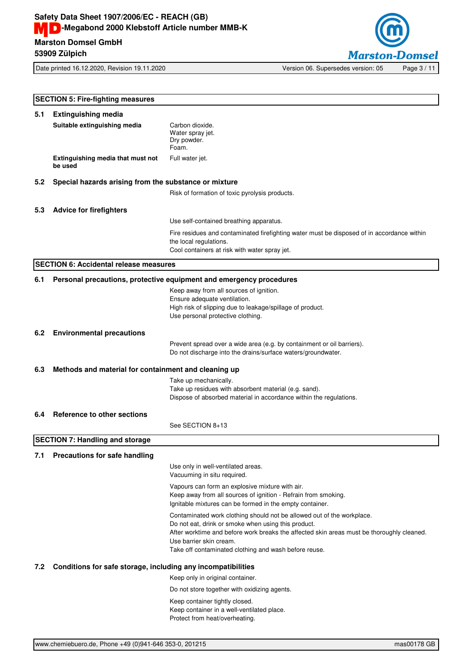

Date printed 16.12.2020, Revision 19.11.2020 Version 06. Supersedes version: 05 Page 3 / 11

**SECTION 5: Fire-fighting measures 5.1 Extinguishing media Suitable extinguishing media** Carbon dioxide. Water spray jet. Dry powder. Foam. **Extinguishing media that must not be used** Full water jet. **5.2 Special hazards arising from the substance or mixture** Risk of formation of toxic pyrolysis products. **5.3 Advice for firefighters** Use self-contained breathing apparatus. Fire residues and contaminated firefighting water must be disposed of in accordance within the local regulations. Cool containers at risk with water spray jet. **SECTION 6: Accidental release measures 6.1 Personal precautions, protective equipment and emergency procedures** Keep away from all sources of ignition. Ensure adequate ventilation. High risk of slipping due to leakage/spillage of product. Use personal protective clothing. **6.2 Environmental precautions** Prevent spread over a wide area (e.g. by containment or oil barriers). Do not discharge into the drains/surface waters/groundwater. **6.3 Methods and material for containment and cleaning up** Take up mechanically. Take up residues with absorbent material (e.g. sand). Dispose of absorbed material in accordance within the regulations. **6.4 Reference to other sections** See SECTION 8+13 **SECTION 7: Handling and storage 7.1 Precautions for safe handling** Use only in well-ventilated areas. Vacuuming in situ required. Vapours can form an explosive mixture with air. Keep away from all sources of ignition - Refrain from smoking. Ignitable mixtures can be formed in the empty container. Contaminated work clothing should not be allowed out of the workplace. Do not eat, drink or smoke when using this product. After worktime and before work breaks the affected skin areas must be thoroughly cleaned. Use barrier skin cream. Take off contaminated clothing and wash before reuse. **7.2 Conditions for safe storage, including any incompatibilities** Keep only in original container. Do not store together with oxidizing agents. Keep container tightly closed. Keep container in a well-ventilated place. Protect from heat/overheating.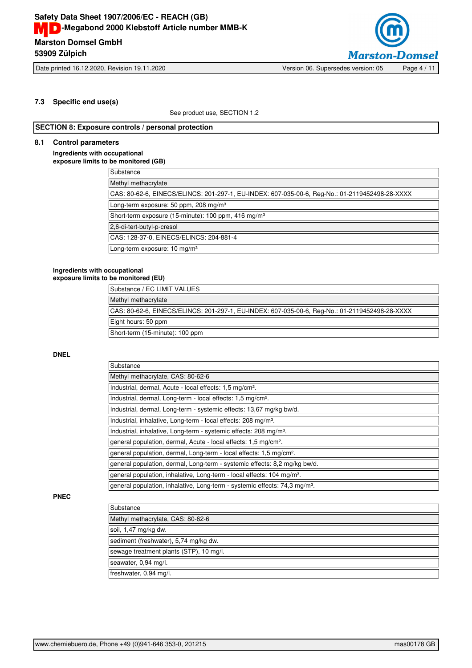

## **7.3 Specific end use(s)**

See product use, SECTION 1.2

## **SECTION 8: Exposure controls / personal protection**

## **8.1 Control parameters**

**Ingredients with occupational exposure limits to be monitored (GB)**

| Substance                                                                                      |
|------------------------------------------------------------------------------------------------|
| Methyl methacrylate                                                                            |
|                                                                                                |
| CAS: 80-62-6, EINECS/ELINCS: 201-297-1, EU-INDEX: 607-035-00-6, Reg-No.: 01-2119452498-28-XXXX |
| Long-term exposure: 50 ppm, 208 mg/m <sup>3</sup>                                              |
| Short-term exposure (15-minute): 100 ppm, 416 mg/m <sup>3</sup>                                |
| 2,6-di-tert-butyl-p-cresol                                                                     |
| CAS: 128-37-0, EINECS/ELINCS: 204-881-4                                                        |
| Long-term exposure: 10 mg/m <sup>3</sup>                                                       |

#### **Ingredients with occupational exposure limits to be monitored (EU)**

| Substance / EC LIMIT VALUES                                                                    |
|------------------------------------------------------------------------------------------------|
| Methyl methacrylate                                                                            |
| CAS: 80-62-6, EINECS/ELINCS: 201-297-1, EU-INDEX: 607-035-00-6, Req-No.: 01-2119452498-28-XXXX |
| Eight hours: 50 ppm                                                                            |
| Short-term (15-minute): 100 ppm                                                                |

## **DNEL**

| Substance                                                                              |
|----------------------------------------------------------------------------------------|
| Methyl methacrylate, CAS: 80-62-6                                                      |
| Industrial, dermal, Acute - local effects: 1,5 mg/cm <sup>2</sup> .                    |
| Industrial, dermal, Long-term - local effects: 1,5 mg/cm <sup>2</sup> .                |
| Industrial, dermal, Long-term - systemic effects: 13.67 mg/kg bw/d.                    |
| Industrial, inhalative, Long-term - local effects: 208 mg/m <sup>3</sup> .             |
| Industrial, inhalative, Long-term - systemic effects: 208 mg/m <sup>3</sup> .          |
| general population, dermal, Acute - local effects: 1,5 mg/cm <sup>2</sup> .            |
| general population, dermal, Long-term - local effects: 1,5 mg/cm <sup>2</sup> .        |
| general population, dermal, Long-term - systemic effects: 8,2 mg/kg bw/d.              |
| general population, inhalative, Long-term - local effects: 104 mg/m <sup>3</sup> .     |
| general population, inhalative, Long-term - systemic effects: 74,3 mg/m <sup>3</sup> . |

#### **PNEC**

| Substance                               |  |
|-----------------------------------------|--|
| Methyl methacrylate, CAS: 80-62-6       |  |
| soil, 1,47 mg/kg dw.                    |  |
| sediment (freshwater), 5,74 mg/kg dw.   |  |
| sewage treatment plants (STP), 10 mg/l. |  |
| seawater, 0,94 mg/l.                    |  |
| freshwater, 0,94 mg/l.                  |  |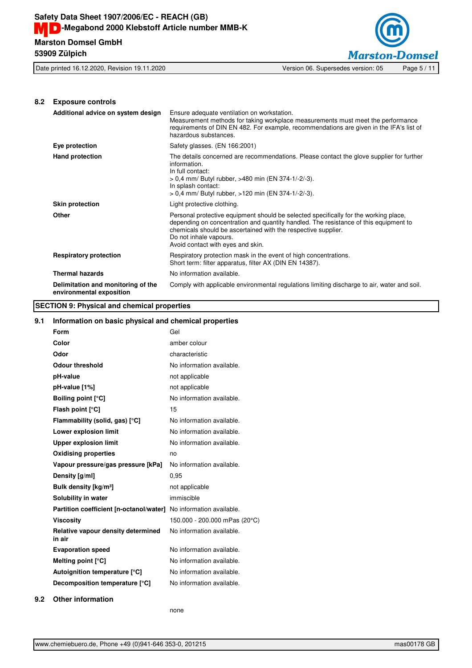**53909 Zülpich**



## **8.2 Exposure controls**

| Additional advice on system design                             | Ensure adequate ventilation on workstation.<br>Measurement methods for taking workplace measurements must meet the performance<br>requirements of DIN EN 482. For example, recommendations are given in the IFA's list of<br>hazardous substances.                                                           |
|----------------------------------------------------------------|--------------------------------------------------------------------------------------------------------------------------------------------------------------------------------------------------------------------------------------------------------------------------------------------------------------|
| Eye protection                                                 | Safety glasses. (EN 166:2001)                                                                                                                                                                                                                                                                                |
| <b>Hand protection</b>                                         | The details concerned are recommendations. Please contact the glove supplier for further<br>information.<br>In full contact:<br>> 0,4 mm/ Butyl rubber, >480 min (EN 374-1/-2/-3).<br>In splash contact:<br>> 0,4 mm/ Butyl rubber, >120 min (EN 374-1/-2/-3).                                               |
| <b>Skin protection</b>                                         | Light protective clothing.                                                                                                                                                                                                                                                                                   |
| <b>Other</b>                                                   | Personal protective equipment should be selected specifically for the working place,<br>depending on concentration and quantity handled. The resistance of this equipment to<br>chemicals should be ascertained with the respective supplier.<br>Do not inhale vapours.<br>Avoid contact with eyes and skin. |
| <b>Respiratory protection</b>                                  | Respiratory protection mask in the event of high concentrations.<br>Short term: filter apparatus, filter AX (DIN EN 14387).                                                                                                                                                                                  |
| <b>Thermal hazards</b>                                         | No information available.                                                                                                                                                                                                                                                                                    |
| Delimitation and monitoring of the<br>environmental exposition | Comply with applicable environmental regulations limiting discharge to air, water and soil.                                                                                                                                                                                                                  |

## **SECTION 9: Physical and chemical properties**

## **9.1 Information on basic physical and chemical properties**

| Form                                         | Gel                           |
|----------------------------------------------|-------------------------------|
| Color                                        | amber colour                  |
| Odor                                         | characteristic                |
| <b>Odour threshold</b>                       | No information available.     |
| pH-value                                     | not applicable                |
| pH-value [1%]                                | not applicable                |
| <b>Boiling point [°C]</b>                    | No information available.     |
| Flash point [°C]                             | 15                            |
| Flammability (solid, gas) [°C]               | No information available.     |
| Lower explosion limit                        | No information available.     |
| <b>Upper explosion limit</b>                 | No information available.     |
| <b>Oxidising properties</b>                  | no                            |
| Vapour pressure/gas pressure [kPa]           | No information available.     |
| Density [g/ml]                               | 0.95                          |
| Bulk density [kg/m <sup>3</sup> ]            | not applicable                |
| Solubility in water                          | immiscible                    |
| Partition coefficient [n-octanol/water]      | No information available.     |
| <b>Viscositv</b>                             | 150.000 - 200.000 mPas (20°C) |
| Relative vapour density determined<br>in air | No information available.     |
| <b>Evaporation speed</b>                     | No information available.     |
| Melting point $[°C]$                         | No information available.     |
| Autoignition temperature [°C]                | No information available.     |
| Decomposition temperature [°C]               | No information available.     |
|                                              |                               |

## **9.2 Other information**

none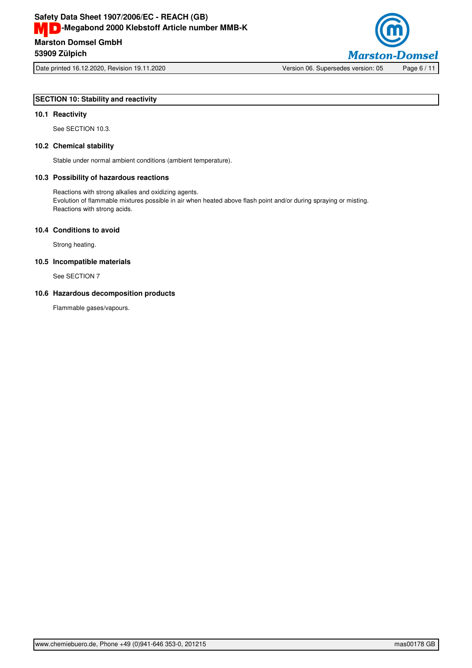

Date printed 16.12.2020, Revision 19.11.2020 Version 06. Supersedes version: 05 Page 6 / 11

## **SECTION 10: Stability and reactivity**

## **10.1 Reactivity**

See SECTION 10.3.

## **10.2 Chemical stability**

Stable under normal ambient conditions (ambient temperature).

## **10.3 Possibility of hazardous reactions**

Reactions with strong alkalies and oxidizing agents. Evolution of flammable mixtures possible in air when heated above flash point and/or during spraying or misting. Reactions with strong acids.

## **10.4 Conditions to avoid**

Strong heating.

## **10.5 Incompatible materials**

See SECTION 7

## **10.6 Hazardous decomposition products**

Flammable gases/vapours.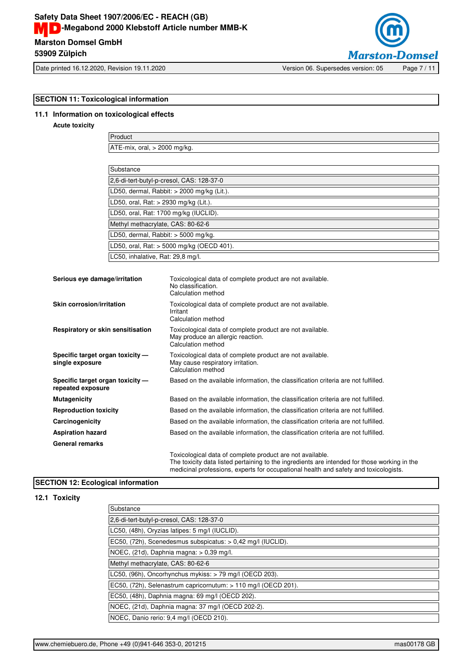# **Marston Domsel GmbH Safety Data Sheet 1907/2006/EC - REACH (GB) MD**-Megabond 2000 Klebstoff Article number MMB-K





Date printed 16.12.2020, Revision 19.11.2020 Version 06. Supersedes version: 05 Page 7 / 11

## **SECTION 11: Toxicological information**

## **11.1 Information on toxicological effects**

## **Acute toxicity**

Product ATE-mix, oral, > 2000 mg/kg.

| Substance                                  |
|--------------------------------------------|
| 2,6-di-tert-butyl-p-cresol, CAS: 128-37-0  |
| LD50, dermal, Rabbit: > 2000 mg/kg (Lit.). |
| LD50, oral, Rat: > 2930 mg/kg (Lit.).      |
| LD50, oral, Rat: 1700 mg/kg (IUCLID).      |
| Methyl methacrylate, CAS: 80-62-6          |
| LD50, dermal, Rabbit: > 5000 mg/kg.        |
| LD50, oral, Rat: > 5000 mg/kg (OECD 401).  |
| LC50, inhalative, Rat: 29,8 mg/l.          |

| Serious eye damage/irritation                         | Toxicological data of complete product are not available.<br>No classification.<br>Calculation method                                                     |
|-------------------------------------------------------|-----------------------------------------------------------------------------------------------------------------------------------------------------------|
| Skin corrosion/irritation                             | Toxicological data of complete product are not available.<br>Irritant<br>Calculation method                                                               |
| Respiratory or skin sensitisation                     | Toxicological data of complete product are not available.<br>May produce an allergic reaction.<br>Calculation method                                      |
| Specific target organ toxicity -<br>single exposure   | Toxicological data of complete product are not available.<br>May cause respiratory irritation.<br>Calculation method                                      |
| Specific target organ toxicity -<br>repeated exposure | Based on the available information, the classification criteria are not fulfilled.                                                                        |
| <b>Mutagenicity</b>                                   | Based on the available information, the classification criteria are not fulfilled.                                                                        |
| <b>Reproduction toxicity</b>                          | Based on the available information, the classification criteria are not fulfilled.                                                                        |
| Carcinogenicity                                       | Based on the available information, the classification criteria are not fulfilled.                                                                        |
| <b>Aspiration hazard</b>                              | Based on the available information, the classification criteria are not fulfilled.                                                                        |
| <b>General remarks</b>                                |                                                                                                                                                           |
|                                                       | Toxicological data of complete product are not available.<br>The toxicity data listed pertaining to the ingredients are intended for those working in the |

## **SECTION 12: Ecological information**

## **12.1 Toxicity**

| Substance                                                      |
|----------------------------------------------------------------|
| 2.6-di-tert-butyl-p-cresol, CAS: 128-37-0                      |
| LC50, (48h), Oryzias latipes: 5 mg/l (IUCLID).                 |
| EC50, (72h), Scenedesmus subspicatus: > 0,42 mg/l (IUCLID).    |
| $NOEC$ , (21d), Daphnia magna: $> 0.39$ mg/l.                  |
| Methyl methacrylate, CAS: 80-62-6                              |
| LC50, (96h), Oncorhynchus mykiss: > 79 mg/l (OECD 203).        |
| EC50, (72h), Selenastrum capricornutum: > 110 mg/l (OECD 201). |
| EC50, (48h), Daphnia magna: 69 mg/l (OECD 202).                |
| NOEC, (21d), Daphnia magna: 37 mg/l (OECD 202-2).              |
| NOEC, Danio rerio: 9,4 mg/l (OECD 210).                        |

medicinal professions, experts for occupational health and safety and toxicologists.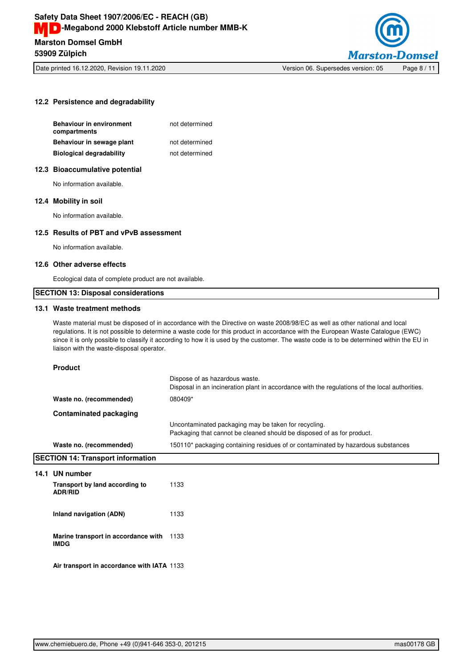

Date printed 16.12.2020, Revision 19.11.2020 Version 06. Supersedes version: 05 Page 8 / 11

## **12.2 Persistence and degradability**

| <b>Behaviour in environment</b><br>compartments | not determined |
|-------------------------------------------------|----------------|
| Behaviour in sewage plant                       | not determined |
| <b>Biological degradability</b>                 | not determined |
|                                                 |                |

## **12.3 Bioaccumulative potential**

No information available.

## **12.4 Mobility in soil**

No information available.

## **12.5 Results of PBT and vPvB assessment**

No information available.

## **12.6 Other adverse effects**

Ecological data of complete product are not available.

## **SECTION 13: Disposal considerations**

## **13.1 Waste treatment methods**

Waste material must be disposed of in accordance with the Directive on waste 2008/98/EC as well as other national and local regulations. It is not possible to determine a waste code for this product in accordance with the European Waste Catalogue (EWC) since it is only possible to classify it according to how it is used by the customer. The waste code is to be determined within the EU in liaison with the waste-disposal operator.

#### **Product**

**14.1 UN number**

|                                                    | Dispose of as hazardous waste.<br>Disposal in an incineration plant in accordance with the regulations of the local authorities. |
|----------------------------------------------------|----------------------------------------------------------------------------------------------------------------------------------|
| Waste no. (recommended)                            | 080409*                                                                                                                          |
| <b>Contaminated packaging</b>                      |                                                                                                                                  |
|                                                    | Uncontaminated packaging may be taken for recycling.<br>Packaging that cannot be cleaned should be disposed of as for product.   |
| Waste no. (recommended)                            | 150110* packaging containing residues of or contaminated by hazardous substances                                                 |
| <b>SECTION 14: Transport information</b>           |                                                                                                                                  |
| 14.1 UN number                                     |                                                                                                                                  |
| Transport by land according to<br><b>ADR/RID</b>   | 1133                                                                                                                             |
| Inland navigation (ADN)                            | 1133                                                                                                                             |
| Marine transport in accordance with<br><b>IMDG</b> | 1133                                                                                                                             |
| Air transport in accordance with IATA 1133         |                                                                                                                                  |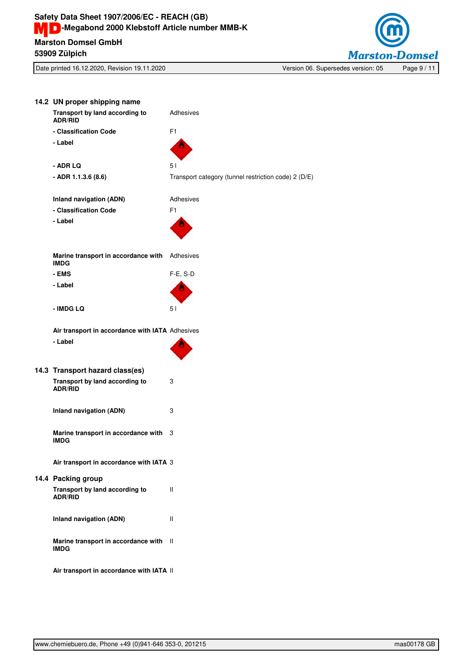

| 14.2 UN proper shipping name                       |                                                      |
|----------------------------------------------------|------------------------------------------------------|
| Transport by land according to<br><b>ADR/RID</b>   | Adhesives                                            |
| - Classification Code                              | F <sub>1</sub>                                       |
| - Label                                            |                                                      |
| - ADR LQ                                           | 5 <sub>1</sub>                                       |
| - ADR 1.1.3.6 (8.6)                                | Transport category (tunnel restriction code) 2 (D/E) |
| Inland navigation (ADN)                            | Adhesives                                            |
| - Classification Code                              | F <sub>1</sub>                                       |
| - Label                                            |                                                      |
| Marine transport in accordance with<br><b>IMDG</b> | Adhesives                                            |
| - EMS                                              | $F-E$ , S-D                                          |
| - Label                                            |                                                      |
| - IMDG LQ                                          | 5 <sub>1</sub>                                       |
| Air transport in accordance with IATA Adhesives    |                                                      |
| - Label                                            |                                                      |
| 14.3 Transport hazard class(es)                    |                                                      |
| Transport by land according to<br><b>ADR/RID</b>   | 3                                                    |
| <b>Inland navigation (ADN)</b>                     | 3                                                    |
| Marine transport in accordance with<br><b>IMDG</b> | 3                                                    |
| Air transport in accordance with IATA 3            |                                                      |
| 14.4 Packing group                                 |                                                      |
| Transport by land according to<br><b>ADR/RID</b>   | Ш                                                    |
| Inland navigation (ADN)                            | Ш                                                    |
| Marine transport in accordance with<br><b>IMDG</b> | $\mathbf{I}$                                         |
| Air transport in accordance with IATA II           |                                                      |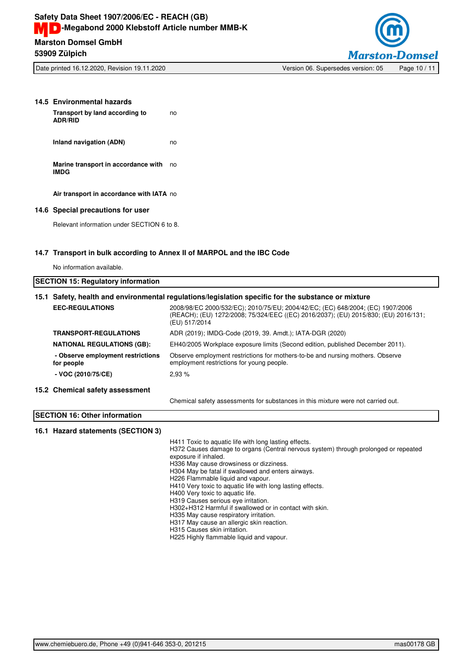

Date printed 16.12.2020, Revision 19.11.2020 Version 06. Supersedes version: 05 Page 10 / 11

| 14.5 Environmental hazards<br>Transport by land according to<br><b>ADR/RID</b> | no |
|--------------------------------------------------------------------------------|----|
| Inland navigation (ADN)                                                        | no |
| Marine transport in accordance with<br><b>IMDG</b>                             | no |
| Air transport in accordance with IATA no                                       |    |

**14.6 Special precautions for user**

Relevant information under SECTION 6 to 8.

## **14.7 Transport in bulk according to Annex II of MARPOL and the IBC Code**

No information available.

| <b>ISECTION 15: Regulatory information</b>                                                          |                                   |                                                                                                                                                                                        |
|-----------------------------------------------------------------------------------------------------|-----------------------------------|----------------------------------------------------------------------------------------------------------------------------------------------------------------------------------------|
| 15.1 Safety, health and environmental regulations/legislation specific for the substance or mixture |                                   |                                                                                                                                                                                        |
|                                                                                                     | <b>EEC-REGULATIONS</b>            | 2008/98/EC 2000/532/EC); 2010/75/EU; 2004/42/EC; (EC) 648/2004; (EC) 1907/2006<br>(REACH); (EU) 1272/2008; 75/324/EEC ((EC) 2016/2037); (EU) 2015/830; (EU) 2016/131;<br>(EU) 517/2014 |
|                                                                                                     | <b>TRANSPORT-REGULATIONS</b>      | ADR (2019); IMDG-Code (2019, 39. Amdt.); IATA-DGR (2020)                                                                                                                               |
|                                                                                                     | <b>NATIONAL REGULATIONS (GB):</b> | EH40/2005 Workplace exposure limits (Second edition, published December 2011).                                                                                                         |
| for people                                                                                          | - Observe employment restrictions | Observe employment restrictions for mothers-to-be and nursing mothers. Observe<br>employment restrictions for young people.                                                            |
|                                                                                                     | $-$ VOC (2010/75/CE)              | 2.93%                                                                                                                                                                                  |
|                                                                                                     | 15.2 Chemical safety assessment   |                                                                                                                                                                                        |
|                                                                                                     |                                   | Chemical safety assessments for substances in this mixture were not carried out.                                                                                                       |

## **SECTION 16: Other information**

## **16.1 Hazard statements (SECTION 3)**

H411 Toxic to aquatic life with long lasting effects.

H372 Causes damage to organs (Central nervous system) through prolonged or repeated exposure if inhaled. H336 May cause drowsiness or dizziness.

H304 May be fatal if swallowed and enters airways.

H226 Flammable liquid and vapour.

H410 Very toxic to aquatic life with long lasting effects.

H400 Very toxic to aquatic life.

H319 Causes serious eye irritation.

H302+H312 Harmful if swallowed or in contact with skin.

H335 May cause respiratory irritation.

H317 May cause an allergic skin reaction.

H315 Causes skin irritation.

H225 Highly flammable liquid and vapour.